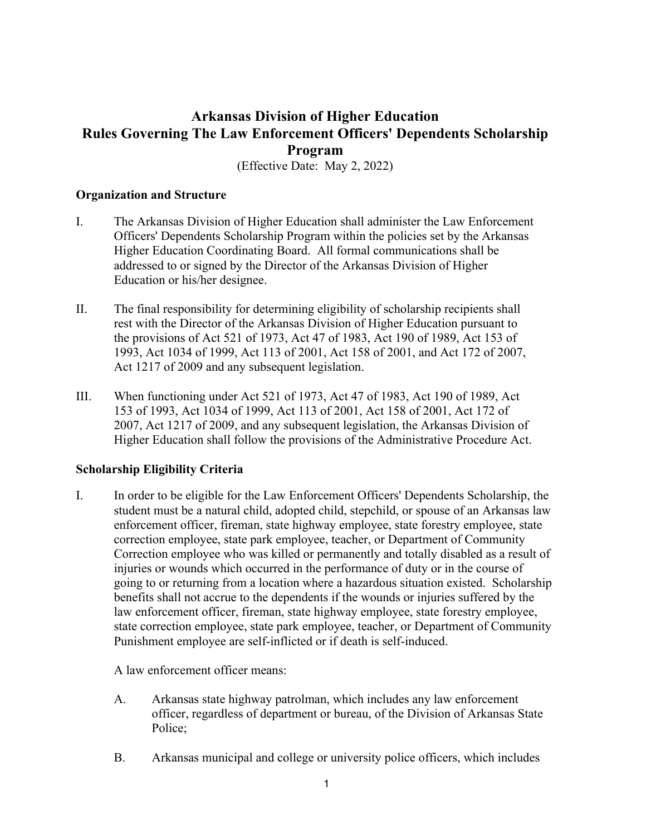# **Arkansas Division of Higher Education Rules Governing The Law Enforcement Officers' Dependents Scholarship Program**

(Effective Date: May 2, 2022)

# **Organization and Structure**

- I. The Arkansas Division of Higher Education shall administer the Law Enforcement Officers' Dependents Scholarship Program within the policies set by the Arkansas Higher Education Coordinating Board. All formal communications shall be addressed to or signed by the Director of the Arkansas Division of Higher Education or his/her designee.
- II. The final responsibility for determining eligibility of scholarship recipients shall rest with the Director of the Arkansas Division of Higher Education pursuant to the provisions of Act 521 of 1973, Act 47 of 1983, Act 190 of 1989, Act 153 of 1993, Act 1034 of 1999, Act 113 of 2001, Act 158 of 2001, and Act 172 of 2007, Act 1217 of 2009 and any subsequent legislation.
- III. When functioning under Act 521 of 1973, Act 47 of 1983, Act 190 of 1989, Act 153 of 1993, Act 1034 of 1999, Act 113 of 2001, Act 158 of 2001, Act 172 of 2007, Act 1217 of 2009, and any subsequent legislation, the Arkansas Division of Higher Education shall follow the provisions of the Administrative Procedure Act.

### **Scholarship Eligibility Criteria**

I. In order to be eligible for the Law Enforcement Officers' Dependents Scholarship, the student must be a natural child, adopted child, stepchild, or spouse of an Arkansas law enforcement officer, fireman, state highway employee, state forestry employee, state correction employee, state park employee, teacher, or Department of Community Correction employee who was killed or permanently and totally disabled as a result of injuries or wounds which occurred in the performance of duty or in the course of going to or returning from a location where a hazardous situation existed. Scholarship benefits shall not accrue to the dependents if the wounds or injuries suffered by the law enforcement officer, fireman, state highway employee, state forestry employee, state correction employee, state park employee, teacher, or Department of Community Punishment employee are self-inflicted or if death is self-induced.

A law enforcement officer means:

- A. Arkansas state highway patrolman, which includes any law enforcement officer, regardless of department or bureau, of the Division of Arkansas State Police;
- B. Arkansas municipal and college or university police officers, which includes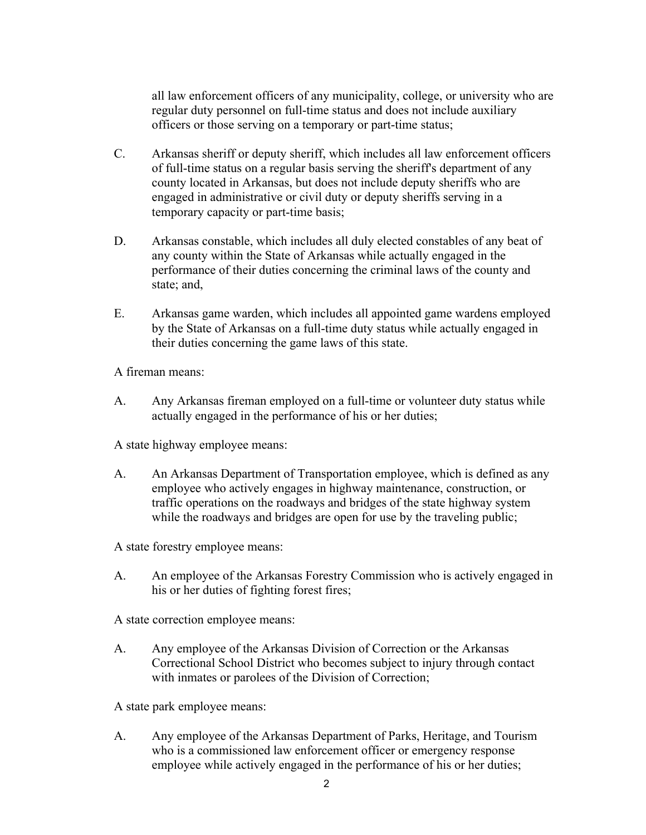all law enforcement officers of any municipality, college, or university who are regular duty personnel on full-time status and does not include auxiliary officers or those serving on a temporary or part-time status;

- C. Arkansas sheriff or deputy sheriff, which includes all law enforcement officers of full-time status on a regular basis serving the sheriff's department of any county located in Arkansas, but does not include deputy sheriffs who are engaged in administrative or civil duty or deputy sheriffs serving in a temporary capacity or part-time basis;
- D. Arkansas constable, which includes all duly elected constables of any beat of any county within the State of Arkansas while actually engaged in the performance of their duties concerning the criminal laws of the county and state; and,
- E. Arkansas game warden, which includes all appointed game wardens employed by the State of Arkansas on a full-time duty status while actually engaged in their duties concerning the game laws of this state.

A fireman means:

A. Any Arkansas fireman employed on a full-time or volunteer duty status while actually engaged in the performance of his or her duties;

A state highway employee means:

A. An Arkansas Department of Transportation employee, which is defined as any employee who actively engages in highway maintenance, construction, or traffic operations on the roadways and bridges of the state highway system while the roadways and bridges are open for use by the traveling public;

A state forestry employee means:

A. An employee of the Arkansas Forestry Commission who is actively engaged in his or her duties of fighting forest fires;

A state correction employee means:

A. Any employee of the Arkansas Division of Correction or the Arkansas Correctional School District who becomes subject to injury through contact with inmates or parolees of the Division of Correction;

A state park employee means:

A. Any employee of the Arkansas Department of Parks, Heritage, and Tourism who is a commissioned law enforcement officer or emergency response employee while actively engaged in the performance of his or her duties;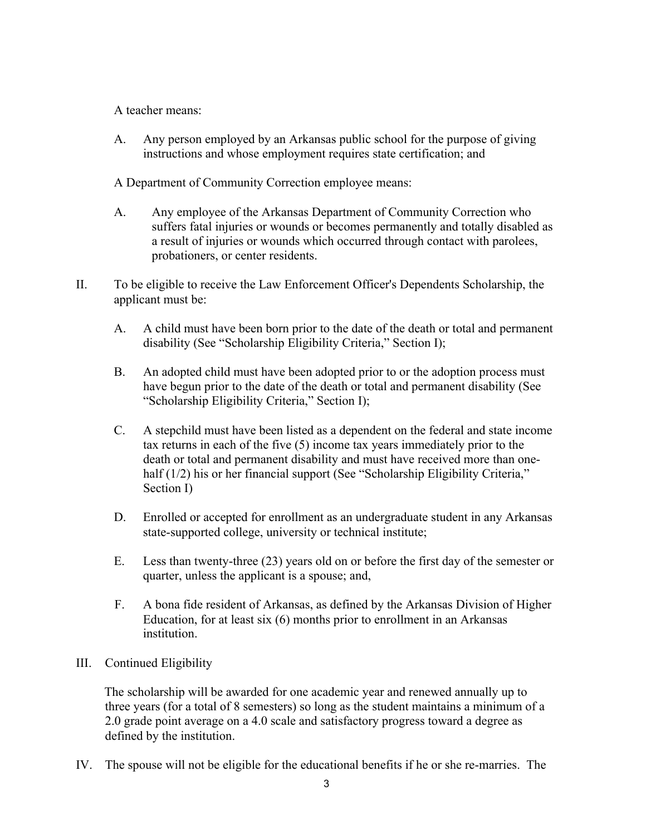A teacher means:

A. Any person employed by an Arkansas public school for the purpose of giving instructions and whose employment requires state certification; and

A Department of Community Correction employee means:

- A. Any employee of the Arkansas Department of Community Correction who suffers fatal injuries or wounds or becomes permanently and totally disabled as a result of injuries or wounds which occurred through contact with parolees, probationers, or center residents.
- II. To be eligible to receive the Law Enforcement Officer's Dependents Scholarship, the applicant must be:
	- A. A child must have been born prior to the date of the death or total and permanent disability (See "Scholarship Eligibility Criteria," Section I);
	- B. An adopted child must have been adopted prior to or the adoption process must have begun prior to the date of the death or total and permanent disability (See "Scholarship Eligibility Criteria," Section I);
	- C. A stepchild must have been listed as a dependent on the federal and state income tax returns in each of the five (5) income tax years immediately prior to the death or total and permanent disability and must have received more than onehalf (1/2) his or her financial support (See "Scholarship Eligibility Criteria," Section I)
	- D. Enrolled or accepted for enrollment as an undergraduate student in any Arkansas state-supported college, university or technical institute;
	- E. Less than twenty-three (23) years old on or before the first day of the semester or quarter, unless the applicant is a spouse; and,
	- F. A bona fide resident of Arkansas, as defined by the Arkansas Division of Higher Education, for at least six (6) months prior to enrollment in an Arkansas institution.

# III. Continued Eligibility

The scholarship will be awarded for one academic year and renewed annually up to three years (for a total of 8 semesters) so long as the student maintains a minimum of a 2.0 grade point average on a 4.0 scale and satisfactory progress toward a degree as defined by the institution.

IV. The spouse will not be eligible for the educational benefits if he or she re-marries. The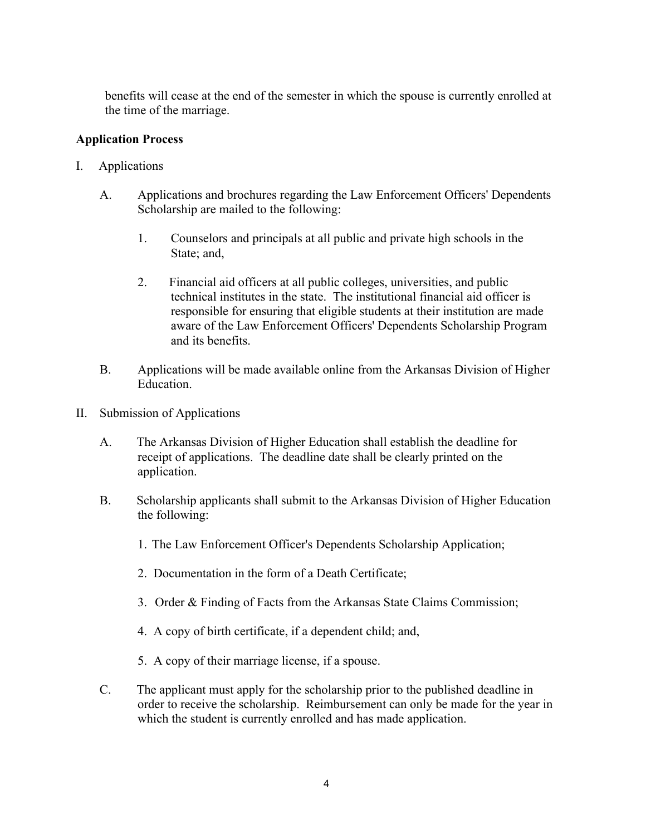benefits will cease at the end of the semester in which the spouse is currently enrolled at the time of the marriage.

# **Application Process**

- I. Applications
	- A. Applications and brochures regarding the Law Enforcement Officers' Dependents Scholarship are mailed to the following:
		- 1. Counselors and principals at all public and private high schools in the State; and,
		- 2. Financial aid officers at all public colleges, universities, and public technical institutes in the state. The institutional financial aid officer is responsible for ensuring that eligible students at their institution are made aware of the Law Enforcement Officers' Dependents Scholarship Program and its benefits.
	- B. Applications will be made available online from the Arkansas Division of Higher Education.
- II. Submission of Applications
	- A. The Arkansas Division of Higher Education shall establish the deadline for receipt of applications. The deadline date shall be clearly printed on the application.
	- B. Scholarship applicants shall submit to the Arkansas Division of Higher Education the following:
		- 1. The Law Enforcement Officer's Dependents Scholarship Application;
		- 2. Documentation in the form of a Death Certificate;
		- 3. Order & Finding of Facts from the Arkansas State Claims Commission;
		- 4. A copy of birth certificate, if a dependent child; and,
		- 5. A copy of their marriage license, if a spouse.
	- C. The applicant must apply for the scholarship prior to the published deadline in order to receive the scholarship. Reimbursement can only be made for the year in which the student is currently enrolled and has made application.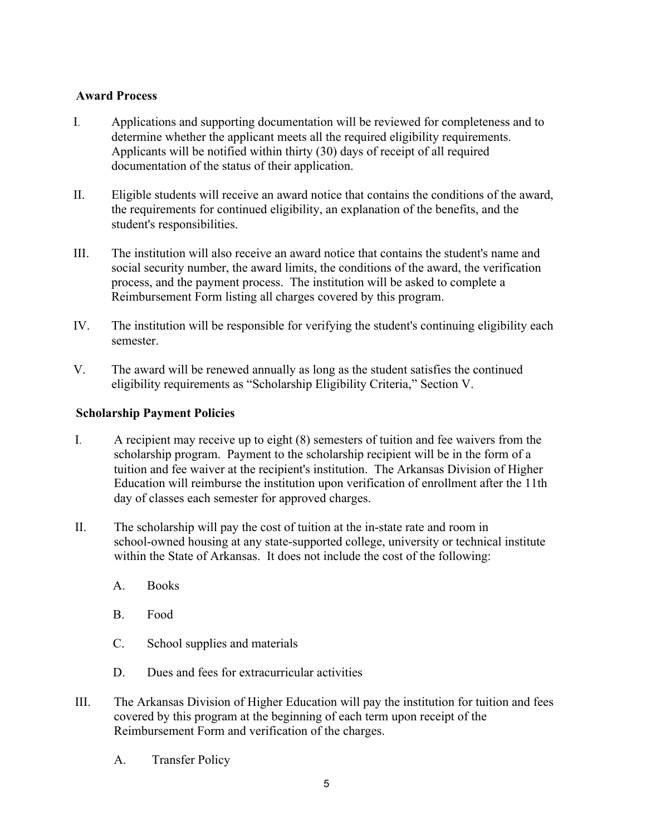# **Award Process**

- I. Applications and supporting documentation will be reviewed for completeness and to determine whether the applicant meets all the required eligibility requirements. Applicants will be notified within thirty (30) days of receipt of all required documentation of the status of their application.
- II. Eligible students will receive an award notice that contains the conditions of the award, the requirements for continued eligibility, an explanation of the benefits, and the student's responsibilities.
- III. The institution will also receive an award notice that contains the student's name and social security number, the award limits, the conditions of the award, the verification process, and the payment process. The institution will be asked to complete a Reimbursement Form listing all charges covered by this program.
- IV. The institution will be responsible for verifying the student's continuing eligibility each semester.
- V. The award will be renewed annually as long as the student satisfies the continued eligibility requirements as "Scholarship Eligibility Criteria," Section V.

# **Scholarship Payment Policies**

- I. A recipient may receive up to eight (8) semesters of tuition and fee waivers from the scholarship program. Payment to the scholarship recipient will be in the form of a tuition and fee waiver at the recipient's institution. The Arkansas Division of Higher Education will reimburse the institution upon verification of enrollment after the 11th day of classes each semester for approved charges.
- II. The scholarship will pay the cost of tuition at the in-state rate and room in school-owned housing at any state-supported college, university or technical institute within the State of Arkansas. It does not include the cost of the following:
	- A. Books
	- B. Food
	- C. School supplies and materials
	- D. Dues and fees for extracurricular activities
- III. The Arkansas Division of Higher Education will pay the institution for tuition and fees covered by this program at the beginning of each term upon receipt of the Reimbursement Form and verification of the charges.
	- A. Transfer Policy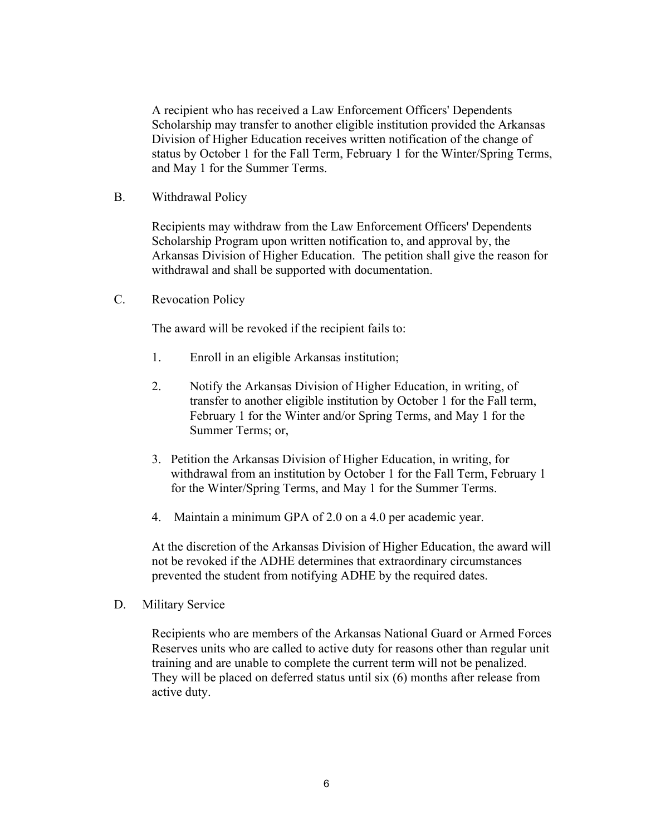A recipient who has received a Law Enforcement Officers' Dependents Scholarship may transfer to another eligible institution provided the Arkansas Division of Higher Education receives written notification of the change of status by October 1 for the Fall Term, February 1 for the Winter/Spring Terms, and May 1 for the Summer Terms.

B. Withdrawal Policy

Recipients may withdraw from the Law Enforcement Officers' Dependents Scholarship Program upon written notification to, and approval by, the Arkansas Division of Higher Education. The petition shall give the reason for withdrawal and shall be supported with documentation.

C. Revocation Policy

The award will be revoked if the recipient fails to:

- 1. Enroll in an eligible Arkansas institution;
- 2. Notify the Arkansas Division of Higher Education, in writing, of transfer to another eligible institution by October 1 for the Fall term, February 1 for the Winter and/or Spring Terms, and May 1 for the Summer Terms; or,
- 3. Petition the Arkansas Division of Higher Education, in writing, for withdrawal from an institution by October 1 for the Fall Term, February 1 for the Winter/Spring Terms, and May 1 for the Summer Terms.
- 4. Maintain a minimum GPA of 2.0 on a 4.0 per academic year.

At the discretion of the Arkansas Division of Higher Education, the award will not be revoked if the ADHE determines that extraordinary circumstances prevented the student from notifying ADHE by the required dates.

D. Military Service

Recipients who are members of the Arkansas National Guard or Armed Forces Reserves units who are called to active duty for reasons other than regular unit training and are unable to complete the current term will not be penalized. They will be placed on deferred status until six (6) months after release from active duty.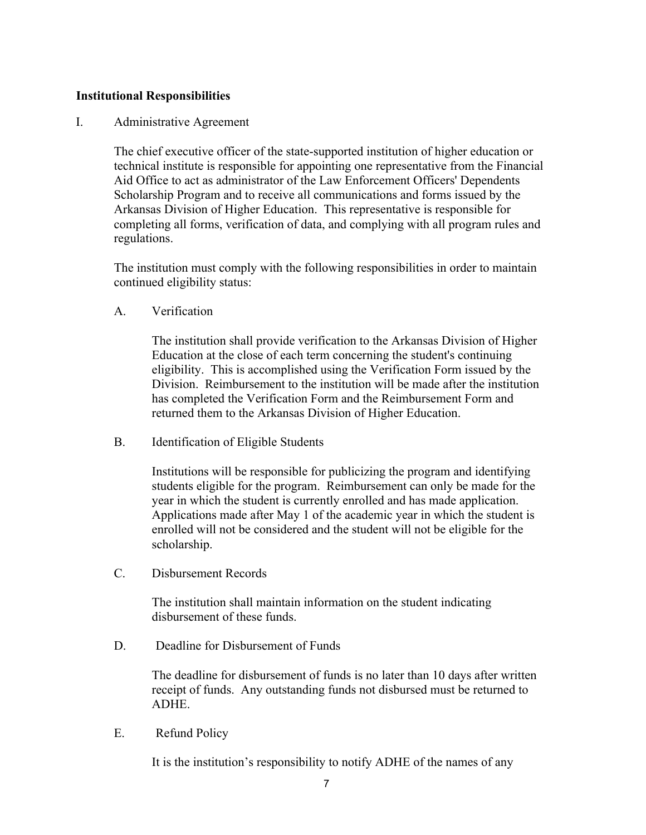## **Institutional Responsibilities**

### I. Administrative Agreement

The chief executive officer of the state-supported institution of higher education or technical institute is responsible for appointing one representative from the Financial Aid Office to act as administrator of the Law Enforcement Officers' Dependents Scholarship Program and to receive all communications and forms issued by the Arkansas Division of Higher Education. This representative is responsible for completing all forms, verification of data, and complying with all program rules and regulations.

The institution must comply with the following responsibilities in order to maintain continued eligibility status:

A. Verification

The institution shall provide verification to the Arkansas Division of Higher Education at the close of each term concerning the student's continuing eligibility. This is accomplished using the Verification Form issued by the Division. Reimbursement to the institution will be made after the institution has completed the Verification Form and the Reimbursement Form and returned them to the Arkansas Division of Higher Education.

B. Identification of Eligible Students

Institutions will be responsible for publicizing the program and identifying students eligible for the program. Reimbursement can only be made for the year in which the student is currently enrolled and has made application. Applications made after May 1 of the academic year in which the student is enrolled will not be considered and the student will not be eligible for the scholarship.

C. Disbursement Records

The institution shall maintain information on the student indicating disbursement of these funds.

D. Deadline for Disbursement of Funds

The deadline for disbursement of funds is no later than 10 days after written receipt of funds. Any outstanding funds not disbursed must be returned to ADHE.

E. Refund Policy

It is the institution's responsibility to notify ADHE of the names of any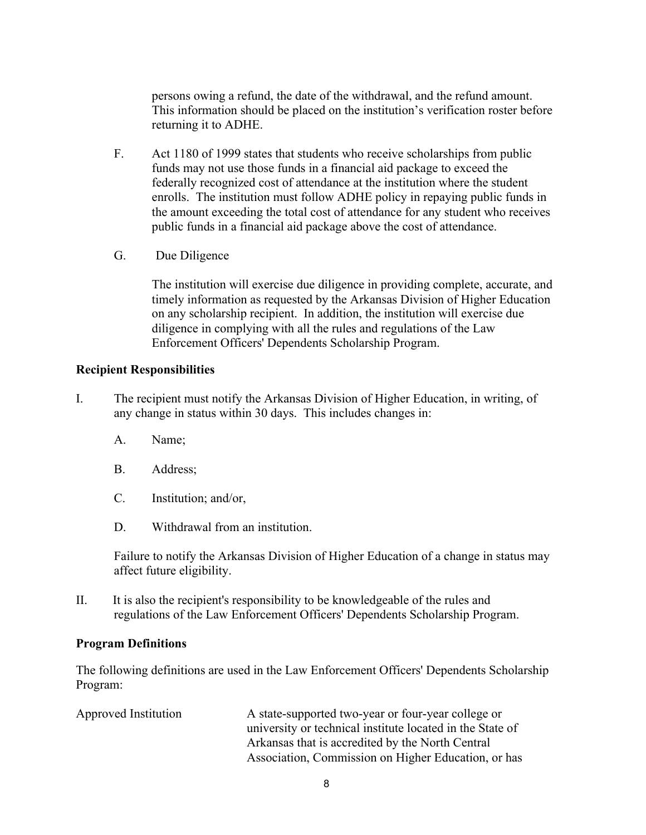persons owing a refund, the date of the withdrawal, and the refund amount. This information should be placed on the institution's verification roster before returning it to ADHE.

- F. Act 1180 of 1999 states that students who receive scholarships from public funds may not use those funds in a financial aid package to exceed the federally recognized cost of attendance at the institution where the student enrolls. The institution must follow ADHE policy in repaying public funds in the amount exceeding the total cost of attendance for any student who receives public funds in a financial aid package above the cost of attendance.
- G. Due Diligence

The institution will exercise due diligence in providing complete, accurate, and timely information as requested by the Arkansas Division of Higher Education on any scholarship recipient. In addition, the institution will exercise due diligence in complying with all the rules and regulations of the Law Enforcement Officers' Dependents Scholarship Program.

# **Recipient Responsibilities**

- I. The recipient must notify the Arkansas Division of Higher Education, in writing, of any change in status within 30 days. This includes changes in:
	- A. Name;
	- B. Address;
	- C. Institution; and/or,
	- D. Withdrawal from an institution.

Failure to notify the Arkansas Division of Higher Education of a change in status may affect future eligibility.

II. It is also the recipient's responsibility to be knowledgeable of the rules and regulations of the Law Enforcement Officers' Dependents Scholarship Program.

### **Program Definitions**

The following definitions are used in the Law Enforcement Officers' Dependents Scholarship Program:

| Approved Institution | A state-supported two-year or four-year college or        |
|----------------------|-----------------------------------------------------------|
|                      | university or technical institute located in the State of |
|                      | Arkansas that is accredited by the North Central          |
|                      | Association, Commission on Higher Education, or has       |